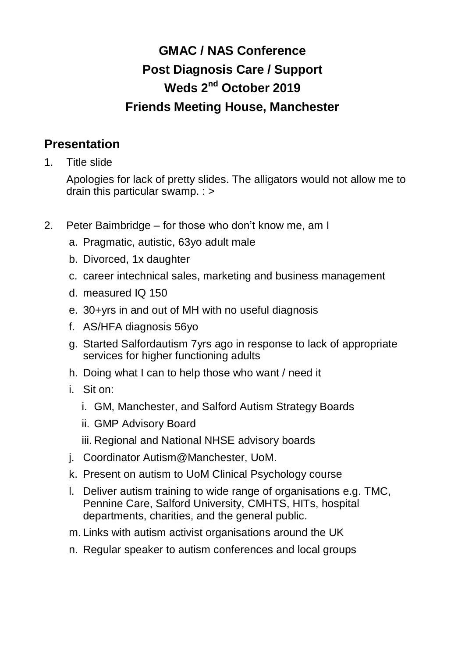## **GMAC / NAS Conference Post Diagnosis Care / Support Weds 2nd October 2019 Friends Meeting House, Manchester**

## **Presentation**

1. Title slide

Apologies for lack of pretty slides. The alligators would not allow me to drain this particular swamp. : >

- 2. Peter Baimbridge for those who don't know me, am I
	- a. Pragmatic, autistic, 63yo adult male
	- b. Divorced, 1x daughter
	- c. career intechnical sales, marketing and business management
	- d. measured IQ 150
	- e. 30+yrs in and out of MH with no useful diagnosis
	- f. AS/HFA diagnosis 56yo
	- g. Started Salfordautism 7yrs ago in response to lack of appropriate services for higher functioning adults
	- h. Doing what I can to help those who want / need it
	- i. Sit on:
		- i. GM, Manchester, and Salford Autism Strategy Boards
		- ii. GMP Advisory Board
		- iii. Regional and National NHSE advisory boards
	- j. Coordinator Autism@Manchester, UoM.
	- k. Present on autism to UoM Clinical Psychology course
	- l. Deliver autism training to wide range of organisations e.g. TMC, Pennine Care, Salford University, CMHTS, HITs, hospital departments, charities, and the general public.
	- m. Links with autism activist organisations around the UK
	- n. Regular speaker to autism conferences and local groups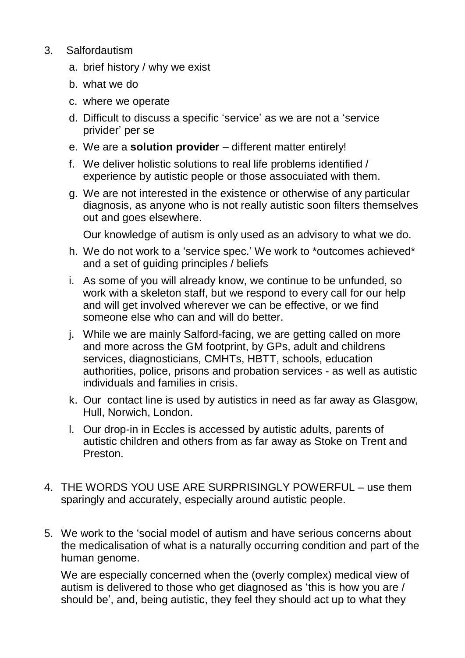- 3. Salfordautism
	- a. brief history / why we exist
	- b. what we do
	- c. where we operate
	- d. Difficult to discuss a specific 'service' as we are not a 'service privider' per se
	- e. We are a **solution provider** different matter entirely!
	- f. We deliver holistic solutions to real life problems identified / experience by autistic people or those assocuiated with them.
	- g. We are not interested in the existence or otherwise of any particular diagnosis, as anyone who is not really autistic soon filters themselves out and goes elsewhere.

Our knowledge of autism is only used as an advisory to what we do.

- h. We do not work to a 'service spec.' We work to \*outcomes achieved\* and a set of guiding principles / beliefs
- i. As some of you will already know, we continue to be unfunded, so work with a skeleton staff, but we respond to every call for our help and will get involved wherever we can be effective, or we find someone else who can and will do better.
- j. While we are mainly Salford-facing, we are getting called on more and more across the GM footprint, by GPs, adult and childrens services, diagnosticians, CMHTs, HBTT, schools, education authorities, police, prisons and probation services - as well as autistic individuals and families in crisis.
- k. Our contact line is used by autistics in need as far away as Glasgow, Hull, Norwich, London.
- l. Our drop-in in Eccles is accessed by autistic adults, parents of autistic children and others from as far away as Stoke on Trent and Preston.
- 4. THE WORDS YOU USE ARE SURPRISINGLY POWERFUL use them sparingly and accurately, especially around autistic people.
- 5. We work to the 'social model of autism and have serious concerns about the medicalisation of what is a naturally occurring condition and part of the human genome.

We are especially concerned when the (overly complex) medical view of autism is delivered to those who get diagnosed as 'this is how you are / should be', and, being autistic, they feel they should act up to what they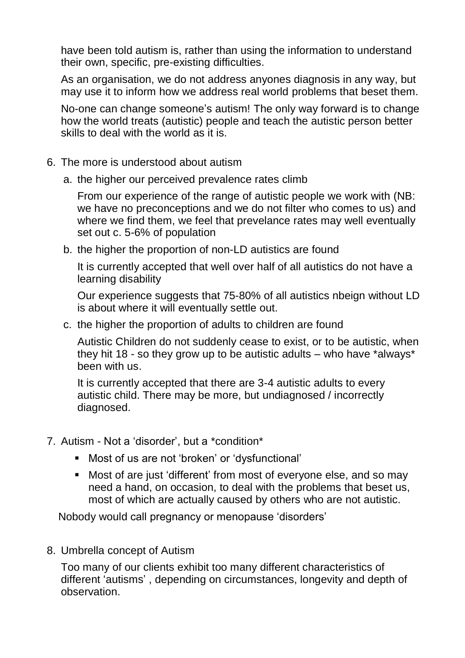have been told autism is, rather than using the information to understand their own, specific, pre-existing difficulties.

As an organisation, we do not address anyones diagnosis in any way, but may use it to inform how we address real world problems that beset them.

No-one can change someone's autism! The only way forward is to change how the world treats (autistic) people and teach the autistic person better skills to deal with the world as it is.

- 6. The more is understood about autism
	- a. the higher our perceived prevalence rates climb

From our experience of the range of autistic people we work with (NB: we have no preconceptions and we do not filter who comes to us) and where we find them, we feel that prevelance rates may well eventually set out c. 5-6% of population

b. the higher the proportion of non-LD autistics are found

It is currently accepted that well over half of all autistics do not have a learning disability

Our experience suggests that 75-80% of all autistics nbeign without LD is about where it will eventually settle out.

c. the higher the proportion of adults to children are found

Autistic Children do not suddenly cease to exist, or to be autistic, when they hit 18 - so they grow up to be autistic adults  $-$  who have \*always\* been with us.

It is currently accepted that there are 3-4 autistic adults to every autistic child. There may be more, but undiagnosed / incorrectly diagnosed.

- 7. Autism Not a 'disorder', but a \*condition\*
	- Most of us are not 'broken' or 'dysfunctional'
	- Most of are just 'different' from most of everyone else, and so may need a hand, on occasion, to deal with the problems that beset us, most of which are actually caused by others who are not autistic.

Nobody would call pregnancy or menopause 'disorders'

8. Umbrella concept of Autism

Too many of our clients exhibit too many different characteristics of different 'autisms' , depending on circumstances, longevity and depth of observation.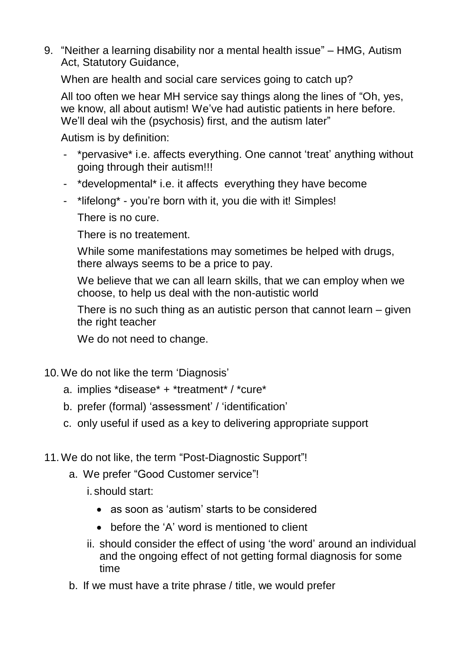9. "Neither a learning disability nor a mental health issue" – HMG, Autism Act, Statutory Guidance,

When are health and social care services going to catch up?

All too often we hear MH service say things along the lines of "Oh, yes, we know, all about autism! We've had autistic patients in here before. We'll deal wih the (psychosis) first, and the autism later"

Autism is by definition:

- \*pervasive\* i.e. affects everything. One cannot 'treat' anything without going through their autism!!!
- \*developmental\* i.e. it affects everything they have become
- \*lifelong\* you're born with it, you die with it! Simples!

There is no cure.

There is no treatement.

While some manifestations may sometimes be helped with drugs, there always seems to be a price to pay.

We believe that we can all learn skills, that we can employ when we choose, to help us deal with the non-autistic world

There is no such thing as an autistic person that cannot learn – given the right teacher

We do not need to change.

- 10.We do not like the term 'Diagnosis'
	- a. implies \*disease\* + \*treatment\* / \*cure\*
	- b. prefer (formal) 'assessment' / 'identification'
	- c. only useful if used as a key to delivering appropriate support
- 11.We do not like, the term "Post-Diagnostic Support"!
	- a. We prefer "Good Customer service"!

i. should start:

- as soon as 'autism' starts to be considered
- before the 'A' word is mentioned to client
- ii. should consider the effect of using 'the word' around an individual and the ongoing effect of not getting formal diagnosis for some time
- b. If we must have a trite phrase / title, we would prefer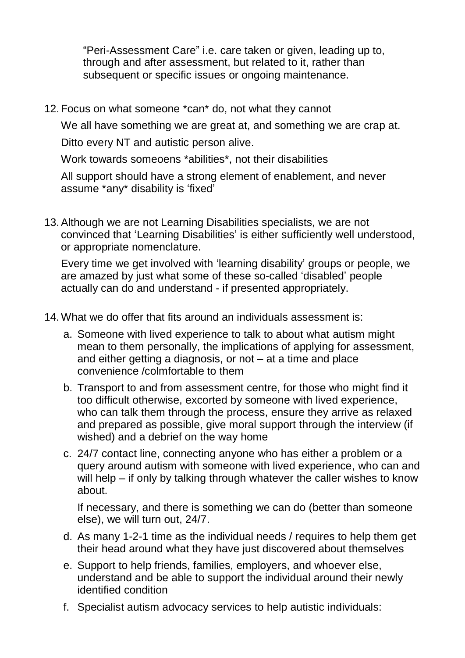"Peri-Assessment Care" i.e. care taken or given, leading up to, through and after assessment, but related to it, rather than subsequent or specific issues or ongoing maintenance.

12. Focus on what someone \*can\* do, not what they cannot

We all have something we are great at, and something we are crap at.

Ditto every NT and autistic person alive.

Work towards someoens \*abilities\*, not their disabilities

All support should have a strong element of enablement, and never assume \*any\* disability is 'fixed'

13.Although we are not Learning Disabilities specialists, we are not convinced that 'Learning Disabilities' is either sufficiently well understood, or appropriate nomenclature.

Every time we get involved with 'learning disability' groups or people, we are amazed by just what some of these so-called 'disabled' people actually can do and understand - if presented appropriately.

- 14.What we do offer that fits around an individuals assessment is:
	- a. Someone with lived experience to talk to about what autism might mean to them personally, the implications of applying for assessment, and either getting a diagnosis, or not – at a time and place convenience /colmfortable to them
	- b. Transport to and from assessment centre, for those who might find it too difficult otherwise, excorted by someone with lived experience, who can talk them through the process, ensure they arrive as relaxed and prepared as possible, give moral support through the interview (if wished) and a debrief on the way home
	- c. 24/7 contact line, connecting anyone who has either a problem or a query around autism with someone with lived experience, who can and will help – if only by talking through whatever the caller wishes to know about.

If necessary, and there is something we can do (better than someone else), we will turn out, 24/7.

- d. As many 1-2-1 time as the individual needs / requires to help them get their head around what they have just discovered about themselves
- e. Support to help friends, families, employers, and whoever else, understand and be able to support the individual around their newly identified condition
- f. Specialist autism advocacy services to help autistic individuals: